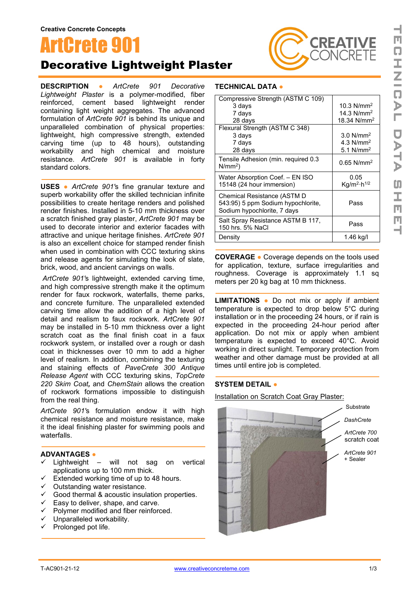

# Decorative Lightweight Plaster

**DESCRIPTION ●** *ArtCrete 901 Decorative Lightweight Plaster* is a polymer-modified, fiber reinforced, cement based lightweight render containing light weight aggregates. The advanced formulation of *ArtCrete 901* is behind its unique and unparalleled combination of physical properties: lightweight, high compressive strength, extended carving time (up to 48 hours), outstanding workability and high chemical and moisture resistance. *ArtCrete 901* is available in forty standard colors.

**USES ●** *ArtCrete 901'*s fine granular texture and superb workability offer the skilled technician infinite possibilities to create heritage renders and polished render finishes. Installed in 5-10 mm thickness over a scratch finished gray plaster, *ArtCrete 901* may be used to decorate interior and exterior facades with attractive and unique heritage finishes. *ArtCrete 901* is also an excellent choice for stamped render finish when used in combination with CCC texturing skins and release agents for simulating the look of slate, brick, wood, and ancient carvings on walls.

*ArtCrete 901'*s lightweight, extended carving time, and high compressive strength make it the optimum render for faux rockwork, waterfalls, theme parks, and concrete furniture. The unparalleled extended carving time allow the addition of a high level of detail and realism to faux rockwork. *ArtCrete 901* may be installed in 5-10 mm thickness over a light scratch coat as the final finish coat in a faux rockwork system, or installed over a rough or dash coat in thicknesses over 10 mm to add a higher level of realism. In addition, combining the texturing and staining effects of *PaveCrete 300 Antique Release Agent* with CCC texturing skins, *TopCrete 220 Skim Coat,* and *ChemStain* allows the creation of rockwork formations impossible to distinguish from the real thing.

*ArtCrete 901'*s formulation endow it with high chemical resistance and moisture resistance, make it the ideal finishing plaster for swimming pools and waterfalls.

#### **ADVANTAGES ●**

- $\checkmark$  Lightweight will not sag on vertical applications up to 100 mm thick.
- $\checkmark$  Extended working time of up to 48 hours.
- $\checkmark$  Outstanding water resistance.
- $\checkmark$  Good thermal & acoustic insulation properties.
- $\checkmark$  Easy to deliver, shape, and carve.
- $\checkmark$  Polymer modified and fiber reinforced.
- $\checkmark$  Unparalleled workability.
- $\checkmark$  Prolonged pot life.

### **TECHNICAL DATA ●**

| Compressive Strength (ASTM C 109)                                                                |                                     |
|--------------------------------------------------------------------------------------------------|-------------------------------------|
| 3 days                                                                                           | 10.3 $N/mm^2$                       |
| 7 days                                                                                           | 14.3 $N/mm^2$                       |
| 28 days                                                                                          | 18.34 $N/mm^2$                      |
| Flexural Strength (ASTM C 348)                                                                   |                                     |
| 3 days                                                                                           | $3.0$ N/mm <sup>2</sup>             |
| 7 days                                                                                           | 4.3 $N/mm2$                         |
| 28 days                                                                                          | 5.1 $N/mm2$                         |
| Tensile Adhesion (min. required 0.3<br>$N/mm^2$ )                                                | $0.65$ N/mm <sup>2</sup>            |
| Water Absorption Coef. - EN ISO                                                                  | 0.05                                |
| 15148 (24 hour immersion)                                                                        | Kg/m <sup>2</sup> ·h <sup>1/2</sup> |
| Chemical Resistance (ASTM D<br>543:95) 5 ppm Sodium hypochlorite,<br>Sodium hypochlorite, 7 days | Pass                                |
| Salt Spray Resistance ASTM B 117,<br>150 hrs. 5% NaCl                                            | Pass                                |
| Density                                                                                          | 1.46 kg/l                           |
|                                                                                                  |                                     |

**COVERAGE ●** Coverage depends on the tools used for application, texture, surface irregularities and roughness. Coverage is approximately 1.1 sq meters per 20 kg bag at 10 mm thickness.

**LIMITATIONS ●** Do not mix or apply if ambient temperature is expected to drop below 5°C during installation or in the proceeding 24 hours, or if rain is expected in the proceeding 24-hour period after application. Do not mix or apply when ambient temperature is expected to exceed 40°C. Avoid working in direct sunlight. Temporary protection from weather and other damage must be provided at all times until entire job is completed.

#### **SYSTEM DETAIL ●**

Installation on Scratch Coat Gray Plaster:



**CREATIVE** ONCRETE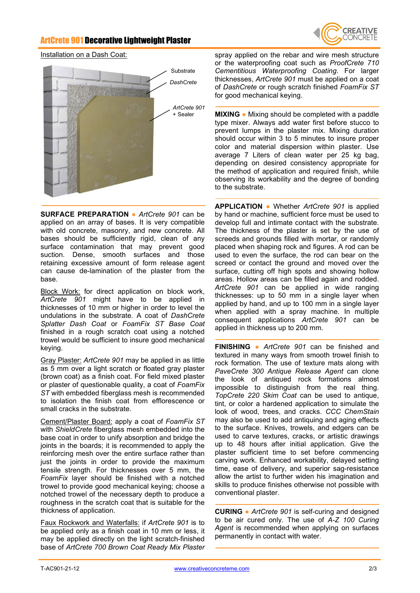## ArtCrete 901 Decorative Lightweight Plaster



#### Installation on a Dash Coat:



**SURFACE PREPARATION ●** *ArtCrete 901* can be applied on an array of bases. It is very compatible with old concrete, masonry, and new concrete. All bases should be sufficiently rigid, clean of any surface contamination that may prevent good suction. Dense, smooth surfaces and those retaining excessive amount of form release agent can cause de-lamination of the plaster from the base.

Block Work: for direct application on block work, *ArtCrete 901* might have to be applied in thicknesses of 10 mm or higher in order to level the undulations in the substrate. A coat of *DashCrete Splatter Dash Coat* or *FoamFix ST Base Coat* finished in a rough scratch coat using a notched trowel would be sufficient to insure good mechanical keying.

Gray Plaster: *ArtCrete 901* may be applied in as little as 5 mm over a light scratch or floated gray plaster (brown coat) as a finish coat. For field mixed plaster or plaster of questionable quality, a coat of *FoamFix ST* with embedded fiberglass mesh is recommended to isolation the finish coat from efflorescence or small cracks in the substrate.

Cement/Plaster Board: apply a coat of *FoamFix ST* with *ShieldCrete* fiberglass mesh embedded into the base coat in order to unify absorption and bridge the joints in the boards; it is recommended to apply the reinforcing mesh over the entire surface rather than just the joints in order to provide the maximum tensile strength. For thicknesses over 5 mm, the *FoamFix* layer should be finished with a notched trowel to provide good mechanical keying; choose a notched trowel of the necessary depth to produce a roughness in the scratch coat that is suitable for the thickness of application.

Faux Rockwork and Waterfalls: if *ArtCrete 901* is to be applied only as a finish coat in 10 mm or less, it may be applied directly on the light scratch-finished base of *ArtCrete 700 Brown Coat Ready Mix Plaster*

spray applied on the rebar and wire mesh structure or the waterproofing coat such as *ProofCrete 710 Cementitious Waterproofing Coating*. For larger thicknesses, *ArtCrete 901* must be applied on a coat of *DashCrete* or rough scratch finished *FoamFix ST*  for good mechanical keying.

**MIXING ●** Mixing should be completed with a paddle type mixer. Always add water first before stucco to prevent lumps in the plaster mix. Mixing duration should occur within 3 to 5 minutes to insure proper color and material dispersion within plaster. Use average 7 Liters of clean water per 25 kg bag, depending on desired consistency appropriate for the method of application and required finish, while observing its workability and the degree of bonding to the substrate.

**APPLICATION ●** Whether *ArtCrete 901* is applied by hand or machine, sufficient force must be used to develop full and intimate contact with the substrate. The thickness of the plaster is set by the use of screeds and grounds filled with mortar, or randomly placed when shaping rock and figures. A rod can be used to even the surface, the rod can bear on the screed or contact the ground and moved over the surface, cutting off high spots and showing hollow areas. Hollow areas can be filled again and rodded. *ArtCrete 901* can be applied in wide ranging thicknesses: up to 50 mm in a single layer when applied by hand, and up to 100 mm in a single layer when applied with a spray machine. In multiple consequent applications *ArtCrete 901* can be applied in thickness up to 200 mm.

**FINISHING ●** *ArtCrete 901* can be finished and textured in many ways from smooth trowel finish to rock formation. The use of texture mats along with *PaveCrete 300 Antique Release Agent* can clone the look of antiqued rock formations almost impossible to distinguish from the real thing. *TopCrete 220 Skim Coat* can be used to antique, tint, or color a hardened application to simulate the look of wood, trees, and cracks. *CCC ChemStain* may also be used to add antiquing and aging effects to the surface. Knives, trowels, and edgers can be used to carve textures, cracks, or artistic drawings up to 48 hours after initial application. Give the plaster sufficient time to set before commencing carving work. Enhanced workability, delayed setting time, ease of delivery, and superior sag-resistance allow the artist to further widen his imagination and skills to produce finishes otherwise not possible with conventional plaster.

**CURING ●** *ArtCrete 901* is self-curing and designed to be air cured only. The use of *A-Z 100 Curing Agent* is recommended when applying on surfaces permanently in contact with water.